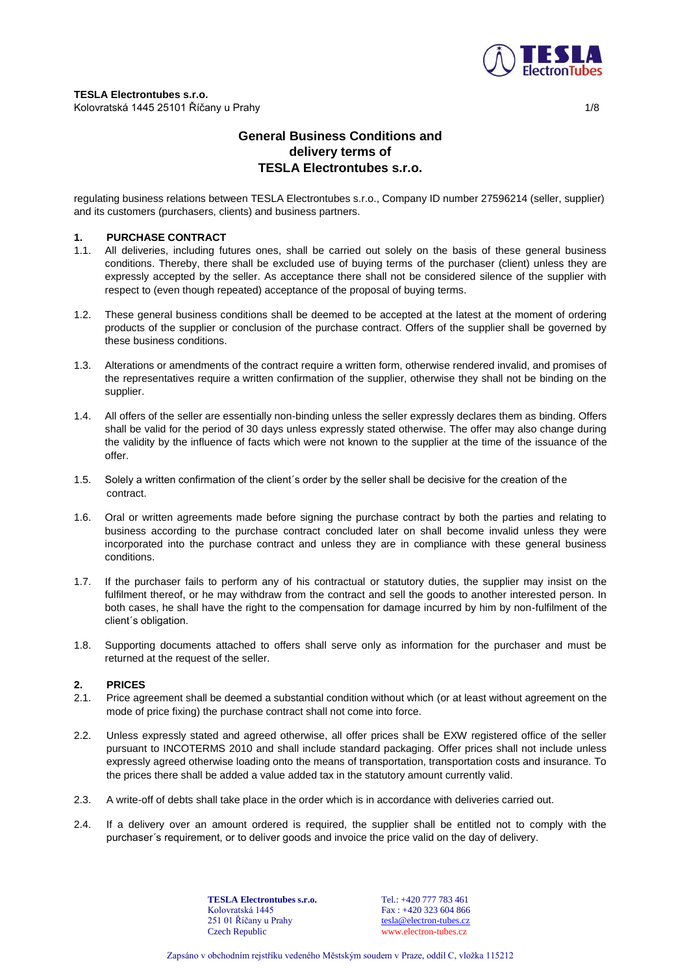

# **General Business Conditions and delivery terms of TESLA Electrontubes s.r.o.**

regulating business relations between TESLA Electrontubes s.r.o., Company ID number 27596214 (seller, supplier) and its customers (purchasers, clients) and business partners.

## **1. PURCHASE CONTRACT**

- 1.1. All deliveries, including futures ones, shall be carried out solely on the basis of these general business conditions. Thereby, there shall be excluded use of buying terms of the purchaser (client) unless they are expressly accepted by the seller. As acceptance there shall not be considered silence of the supplier with respect to (even though repeated) acceptance of the proposal of buying terms.
- 1.2. These general business conditions shall be deemed to be accepted at the latest at the moment of ordering products of the supplier or conclusion of the purchase contract. Offers of the supplier shall be governed by these business conditions.
- 1.3. Alterations or amendments of the contract require a written form, otherwise rendered invalid, and promises of the representatives require a written confirmation of the supplier, otherwise they shall not be binding on the supplier.
- 1.4. All offers of the seller are essentially non-binding unless the seller expressly declares them as binding. Offers shall be valid for the period of 30 days unless expressly stated otherwise. The offer may also change during the validity by the influence of facts which were not known to the supplier at the time of the issuance of the offer.
- 1.5. Solely a written confirmation of the client´s order by the seller shall be decisive for the creation of the contract.
- 1.6. Oral or written agreements made before signing the purchase contract by both the parties and relating to business according to the purchase contract concluded later on shall become invalid unless they were incorporated into the purchase contract and unless they are in compliance with these general business conditions.
- 1.7. If the purchaser fails to perform any of his contractual or statutory duties, the supplier may insist on the fulfilment thereof, or he may withdraw from the contract and sell the goods to another interested person. In both cases, he shall have the right to the compensation for damage incurred by him by non-fulfilment of the client´s obligation.
- 1.8. Supporting documents attached to offers shall serve only as information for the purchaser and must be returned at the request of the seller.

# **2. PRICES**

- 2.1. Price agreement shall be deemed a substantial condition without which (or at least without agreement on the mode of price fixing) the purchase contract shall not come into force.
- 2.2. Unless expressly stated and agreed otherwise, all offer prices shall be EXW registered office of the seller pursuant to INCOTERMS 2010 and shall include standard packaging. Offer prices shall not include unless expressly agreed otherwise loading onto the means of transportation, transportation costs and insurance. To the prices there shall be added a value added tax in the statutory amount currently valid.
- 2.3. A write-off of debts shall take place in the order which is in accordance with deliveries carried out.
- 2.4. If a delivery over an amount ordered is required, the supplier shall be entitled not to comply with the purchaser´s requirement, or to deliver goods and invoice the price valid on the day of delivery.

**TESLA Electrontubes s.r.o.** Kolovratská 1445 251 01 Říčany u Prahy Czech Republic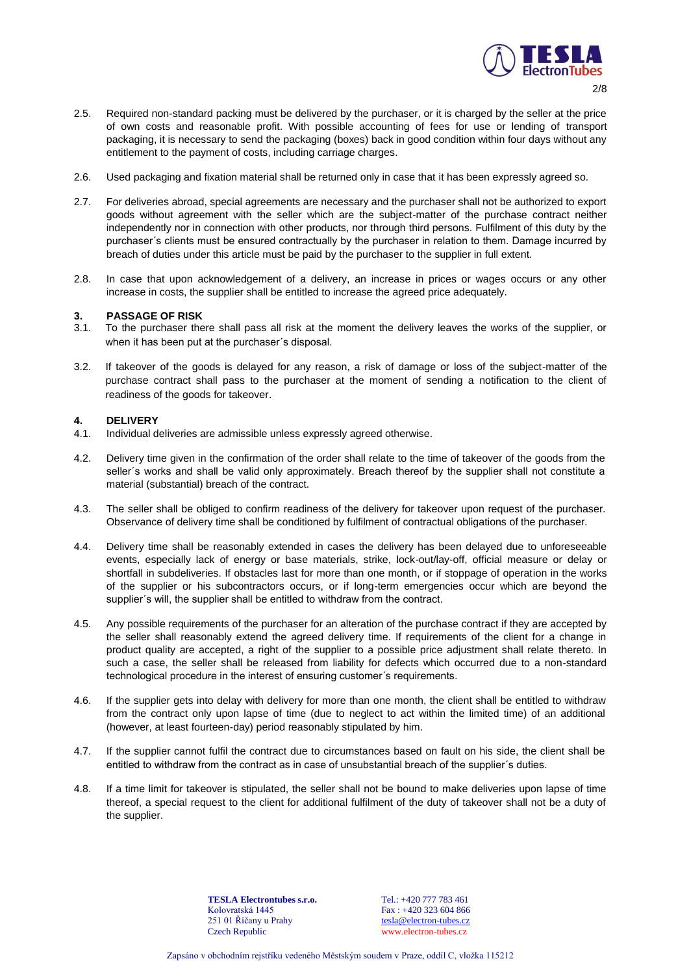

- 2.5. Required non-standard packing must be delivered by the purchaser, or it is charged by the seller at the price of own costs and reasonable profit. With possible accounting of fees for use or lending of transport packaging, it is necessary to send the packaging (boxes) back in good condition within four days without any entitlement to the payment of costs, including carriage charges.
- 2.6. Used packaging and fixation material shall be returned only in case that it has been expressly agreed so.
- 2.7. For deliveries abroad, special agreements are necessary and the purchaser shall not be authorized to export goods without agreement with the seller which are the subject-matter of the purchase contract neither independently nor in connection with other products, nor through third persons. Fulfilment of this duty by the purchaser´s clients must be ensured contractually by the purchaser in relation to them. Damage incurred by breach of duties under this article must be paid by the purchaser to the supplier in full extent.
- 2.8. In case that upon acknowledgement of a delivery, an increase in prices or wages occurs or any other increase in costs, the supplier shall be entitled to increase the agreed price adequately.

## **3. PASSAGE OF RISK**

- 3.1. To the purchaser there shall pass all risk at the moment the delivery leaves the works of the supplier, or when it has been put at the purchaser's disposal.
- 3.2. If takeover of the goods is delayed for any reason, a risk of damage or loss of the subject-matter of the purchase contract shall pass to the purchaser at the moment of sending a notification to the client of readiness of the goods for takeover.

## **4. DELIVERY**

- 4.1. Individual deliveries are admissible unless expressly agreed otherwise.
- 4.2. Delivery time given in the confirmation of the order shall relate to the time of takeover of the goods from the seller´s works and shall be valid only approximately. Breach thereof by the supplier shall not constitute a material (substantial) breach of the contract.
- 4.3. The seller shall be obliged to confirm readiness of the delivery for takeover upon request of the purchaser. Observance of delivery time shall be conditioned by fulfilment of contractual obligations of the purchaser.
- 4.4. Delivery time shall be reasonably extended in cases the delivery has been delayed due to unforeseeable events, especially lack of energy or base materials, strike, lock-out/lay-off, official measure or delay or shortfall in subdeliveries. If obstacles last for more than one month, or if stoppage of operation in the works of the supplier or his subcontractors occurs, or if long-term emergencies occur which are beyond the supplier´s will, the supplier shall be entitled to withdraw from the contract.
- 4.5. Any possible requirements of the purchaser for an alteration of the purchase contract if they are accepted by the seller shall reasonably extend the agreed delivery time. If requirements of the client for a change in product quality are accepted, a right of the supplier to a possible price adjustment shall relate thereto. In such a case, the seller shall be released from liability for defects which occurred due to a non-standard technological procedure in the interest of ensuring customer´s requirements.
- 4.6. If the supplier gets into delay with delivery for more than one month, the client shall be entitled to withdraw from the contract only upon lapse of time (due to neglect to act within the limited time) of an additional (however, at least fourteen-day) period reasonably stipulated by him.
- 4.7. If the supplier cannot fulfil the contract due to circumstances based on fault on his side, the client shall be entitled to withdraw from the contract as in case of unsubstantial breach of the supplier´s duties.
- 4.8. If a time limit for takeover is stipulated, the seller shall not be bound to make deliveries upon lapse of time thereof, a special request to the client for additional fulfilment of the duty of takeover shall not be a duty of the supplier.

**TESLA Electrontubes s.r.o.** Kolovratská 1445 251 01 Říčany u Prahy Czech Republic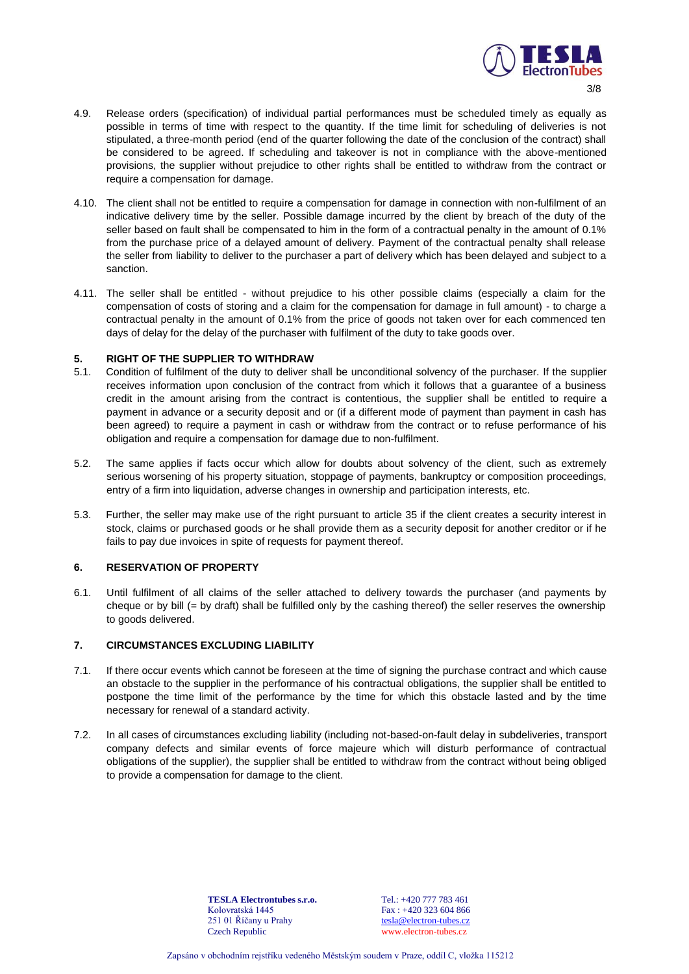

- 4.9. Release orders (specification) of individual partial performances must be scheduled timely as equally as possible in terms of time with respect to the quantity. If the time limit for scheduling of deliveries is not stipulated, a three-month period (end of the quarter following the date of the conclusion of the contract) shall be considered to be agreed. If scheduling and takeover is not in compliance with the above-mentioned provisions, the supplier without prejudice to other rights shall be entitled to withdraw from the contract or require a compensation for damage.
- 4.10. The client shall not be entitled to require a compensation for damage in connection with non-fulfilment of an indicative delivery time by the seller. Possible damage incurred by the client by breach of the duty of the seller based on fault shall be compensated to him in the form of a contractual penalty in the amount of 0.1% from the purchase price of a delayed amount of delivery. Payment of the contractual penalty shall release the seller from liability to deliver to the purchaser a part of delivery which has been delayed and subject to a sanction.
- 4.11. The seller shall be entitled without prejudice to his other possible claims (especially a claim for the compensation of costs of storing and a claim for the compensation for damage in full amount) - to charge a contractual penalty in the amount of 0.1% from the price of goods not taken over for each commenced ten days of delay for the delay of the purchaser with fulfilment of the duty to take goods over.

### **5. RIGHT OF THE SUPPLIER TO WITHDRAW**

- 5.1. Condition of fulfilment of the duty to deliver shall be unconditional solvency of the purchaser. If the supplier receives information upon conclusion of the contract from which it follows that a guarantee of a business credit in the amount arising from the contract is contentious, the supplier shall be entitled to require a payment in advance or a security deposit and or (if a different mode of payment than payment in cash has been agreed) to require a payment in cash or withdraw from the contract or to refuse performance of his obligation and require a compensation for damage due to non-fulfilment.
- 5.2. The same applies if facts occur which allow for doubts about solvency of the client, such as extremely serious worsening of his property situation, stoppage of payments, bankruptcy or composition proceedings, entry of a firm into liquidation, adverse changes in ownership and participation interests, etc.
- 5.3. Further, the seller may make use of the right pursuant to article 35 if the client creates a security interest in stock, claims or purchased goods or he shall provide them as a security deposit for another creditor or if he fails to pay due invoices in spite of requests for payment thereof.

# **6. RESERVATION OF PROPERTY**

6.1. Until fulfilment of all claims of the seller attached to delivery towards the purchaser (and payments by cheque or by bill (= by draft) shall be fulfilled only by the cashing thereof) the seller reserves the ownership to goods delivered.

# **7. CIRCUMSTANCES EXCLUDING LIABILITY**

- 7.1. If there occur events which cannot be foreseen at the time of signing the purchase contract and which cause an obstacle to the supplier in the performance of his contractual obligations, the supplier shall be entitled to postpone the time limit of the performance by the time for which this obstacle lasted and by the time necessary for renewal of a standard activity.
- 7.2. In all cases of circumstances excluding liability (including not-based-on-fault delay in subdeliveries, transport company defects and similar events of force majeure which will disturb performance of contractual obligations of the supplier), the supplier shall be entitled to withdraw from the contract without being obliged to provide a compensation for damage to the client.

**TESLA Electrontubes s.r.o.** Kolovratská 1445 251 01 Říčany u Prahy Czech Republic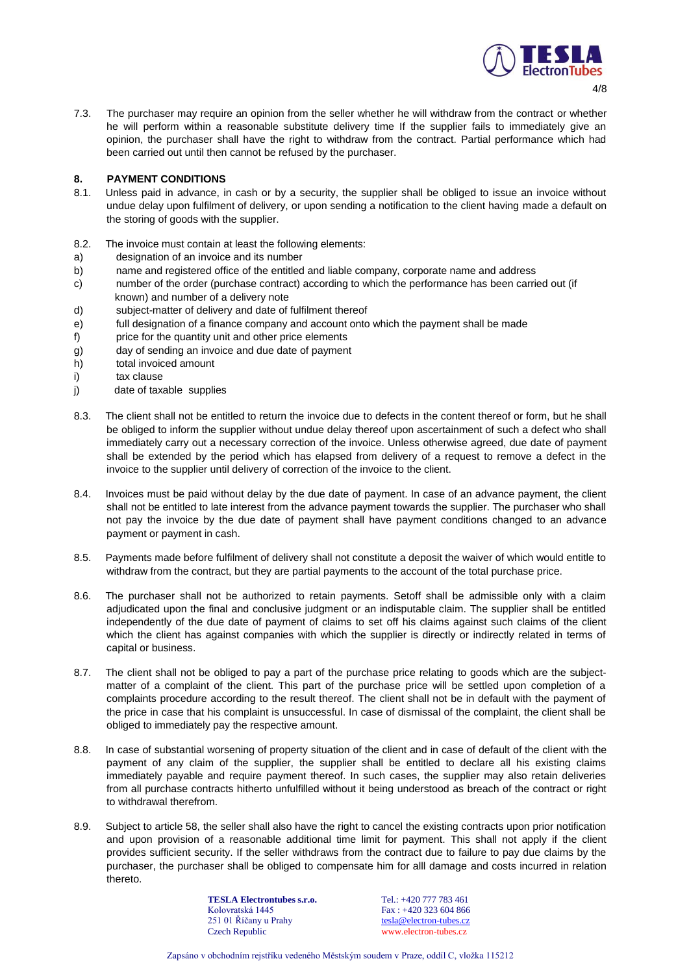

- $\Delta$ / $\Omega$
- 7.3. The purchaser may require an opinion from the seller whether he will withdraw from the contract or whether he will perform within a reasonable substitute delivery time If the supplier fails to immediately give an opinion, the purchaser shall have the right to withdraw from the contract. Partial performance which had been carried out until then cannot be refused by the purchaser.

# **8. PAYMENT CONDITIONS**

- 8.1. Unless paid in advance, in cash or by a security, the supplier shall be obliged to issue an invoice without undue delay upon fulfilment of delivery, or upon sending a notification to the client having made a default on the storing of goods with the supplier.
- 8.2. The invoice must contain at least the following elements:
- a) designation of an invoice and its number
- b) name and registered office of the entitled and liable company, corporate name and address
- c) number of the order (purchase contract) according to which the performance has been carried out (if known) and number of a delivery note
- d) subject-matter of delivery and date of fulfilment thereof
- e) full designation of a finance company and account onto which the payment shall be made
- f) price for the quantity unit and other price elements
- g) day of sending an invoice and due date of payment
- h) total invoiced amount
- i) tax clause
- j) date of taxable supplies
- 8.3. The client shall not be entitled to return the invoice due to defects in the content thereof or form, but he shall be obliged to inform the supplier without undue delay thereof upon ascertainment of such a defect who shall immediately carry out a necessary correction of the invoice. Unless otherwise agreed, due date of payment shall be extended by the period which has elapsed from delivery of a request to remove a defect in the invoice to the supplier until delivery of correction of the invoice to the client.
- 8.4. Invoices must be paid without delay by the due date of payment. In case of an advance payment, the client shall not be entitled to late interest from the advance payment towards the supplier. The purchaser who shall not pay the invoice by the due date of payment shall have payment conditions changed to an advance payment or payment in cash.
- 8.5. Payments made before fulfilment of delivery shall not constitute a deposit the waiver of which would entitle to withdraw from the contract, but they are partial payments to the account of the total purchase price.
- 8.6. The purchaser shall not be authorized to retain payments. Setoff shall be admissible only with a claim adjudicated upon the final and conclusive judgment or an indisputable claim. The supplier shall be entitled independently of the due date of payment of claims to set off his claims against such claims of the client which the client has against companies with which the supplier is directly or indirectly related in terms of capital or business.
- 8.7. The client shall not be obliged to pay a part of the purchase price relating to goods which are the subjectmatter of a complaint of the client. This part of the purchase price will be settled upon completion of a complaints procedure according to the result thereof. The client shall not be in default with the payment of the price in case that his complaint is unsuccessful. In case of dismissal of the complaint, the client shall be obliged to immediately pay the respective amount.
- 8.8. In case of substantial worsening of property situation of the client and in case of default of the client with the payment of any claim of the supplier, the supplier shall be entitled to declare all his existing claims immediately payable and require payment thereof. In such cases, the supplier may also retain deliveries from all purchase contracts hitherto unfulfilled without it being understood as breach of the contract or right to withdrawal therefrom.
- 8.9. Subject to article 58, the seller shall also have the right to cancel the existing contracts upon prior notification and upon provision of a reasonable additional time limit for payment. This shall not apply if the client provides sufficient security. If the seller withdraws from the contract due to failure to pay due claims by the purchaser, the purchaser shall be obliged to compensate him for alll damage and costs incurred in relation thereto.

**TESLA Electrontubes s.r.o.** Kolovratská 1445 251 01 Říčany u Prahy Czech Republic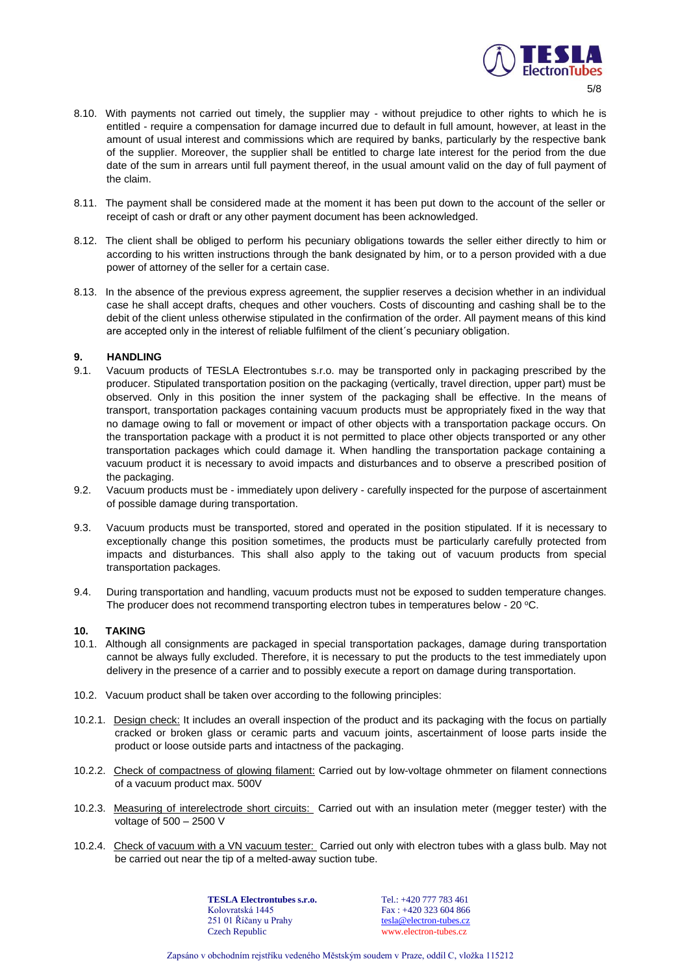

- 8.10. With payments not carried out timely, the supplier may without prejudice to other rights to which he is entitled - require a compensation for damage incurred due to default in full amount, however, at least in the amount of usual interest and commissions which are required by banks, particularly by the respective bank of the supplier. Moreover, the supplier shall be entitled to charge late interest for the period from the due date of the sum in arrears until full payment thereof, in the usual amount valid on the day of full payment of the claim.
- 8.11. The payment shall be considered made at the moment it has been put down to the account of the seller or receipt of cash or draft or any other payment document has been acknowledged.
- 8.12. The client shall be obliged to perform his pecuniary obligations towards the seller either directly to him or according to his written instructions through the bank designated by him, or to a person provided with a due power of attorney of the seller for a certain case.
- 8.13. In the absence of the previous express agreement, the supplier reserves a decision whether in an individual case he shall accept drafts, cheques and other vouchers. Costs of discounting and cashing shall be to the debit of the client unless otherwise stipulated in the confirmation of the order. All payment means of this kind are accepted only in the interest of reliable fulfilment of the client´s pecuniary obligation.

## **9. HANDLING**

- 9.1. Vacuum products of TESLA Electrontubes s.r.o. may be transported only in packaging prescribed by the producer. Stipulated transportation position on the packaging (vertically, travel direction, upper part) must be observed. Only in this position the inner system of the packaging shall be effective. In the means of transport, transportation packages containing vacuum products must be appropriately fixed in the way that no damage owing to fall or movement or impact of other objects with a transportation package occurs. On the transportation package with a product it is not permitted to place other objects transported or any other transportation packages which could damage it. When handling the transportation package containing a vacuum product it is necessary to avoid impacts and disturbances and to observe a prescribed position of the packaging.
- 9.2. Vacuum products must be immediately upon delivery carefully inspected for the purpose of ascertainment of possible damage during transportation.
- 9.3. Vacuum products must be transported, stored and operated in the position stipulated. If it is necessary to exceptionally change this position sometimes, the products must be particularly carefully protected from impacts and disturbances. This shall also apply to the taking out of vacuum products from special transportation packages.
- 9.4. During transportation and handling, vacuum products must not be exposed to sudden temperature changes. The producer does not recommend transporting electron tubes in temperatures below -  $20^{\circ}$ C.

### **10. TAKING**

- 10.1. Although all consignments are packaged in special transportation packages, damage during transportation cannot be always fully excluded. Therefore, it is necessary to put the products to the test immediately upon delivery in the presence of a carrier and to possibly execute a report on damage during transportation.
- 10.2. Vacuum product shall be taken over according to the following principles:
- 10.2.1. Design check: It includes an overall inspection of the product and its packaging with the focus on partially cracked or broken glass or ceramic parts and vacuum joints, ascertainment of loose parts inside the product or loose outside parts and intactness of the packaging.
- 10.2.2. Check of compactness of glowing filament: Carried out by low-voltage ohmmeter on filament connections of a vacuum product max. 500V
- 10.2.3. Measuring of interelectrode short circuits: Carried out with an insulation meter (megger tester) with the voltage of 500 – 2500 V
- 10.2.4. Check of vacuum with a VN vacuum tester: Carried out only with electron tubes with a glass bulb. May not be carried out near the tip of a melted-away suction tube.

**TESLA Electrontubes s.r.o.** Kolovratská 1445 251 01 Říčany u Prahy Czech Republic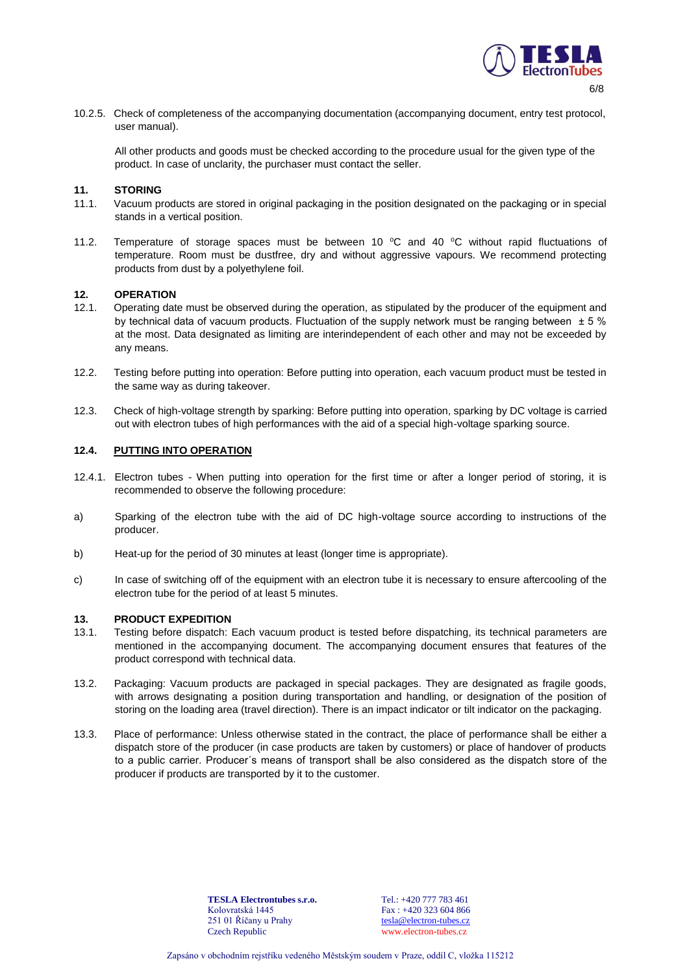

10.2.5. Check of completeness of the accompanying documentation (accompanying document, entry test protocol, user manual).

All other products and goods must be checked according to the procedure usual for the given type of the product. In case of unclarity, the purchaser must contact the seller.

### **11. STORING**

- 11.1. Vacuum products are stored in original packaging in the position designated on the packaging or in special stands in a vertical position.
- 11.2. Temperature of storage spaces must be between 10  $^{\circ}$ C and 40  $^{\circ}$ C without rapid fluctuations of temperature. Room must be dustfree, dry and without aggressive vapours. We recommend protecting products from dust by a polyethylene foil.

### **12. OPERATION**

- 12.1. Operating date must be observed during the operation, as stipulated by the producer of the equipment and by technical data of vacuum products. Fluctuation of the supply network must be ranging between  $\pm$  5 % at the most. Data designated as limiting are interindependent of each other and may not be exceeded by any means.
- 12.2. Testing before putting into operation: Before putting into operation, each vacuum product must be tested in the same way as during takeover.
- 12.3. Check of high-voltage strength by sparking: Before putting into operation, sparking by DC voltage is carried out with electron tubes of high performances with the aid of a special high-voltage sparking source.

## **12.4. PUTTING INTO OPERATION**

- 12.4.1. Electron tubes When putting into operation for the first time or after a longer period of storing, it is recommended to observe the following procedure:
- a) Sparking of the electron tube with the aid of DC high-voltage source according to instructions of the producer.
- b) Heat-up for the period of 30 minutes at least (longer time is appropriate).
- c) In case of switching off of the equipment with an electron tube it is necessary to ensure aftercooling of the electron tube for the period of at least 5 minutes.

#### **13. PRODUCT EXPEDITION**

- 13.1. Testing before dispatch: Each vacuum product is tested before dispatching, its technical parameters are mentioned in the accompanying document. The accompanying document ensures that features of the product correspond with technical data.
- 13.2. Packaging: Vacuum products are packaged in special packages. They are designated as fragile goods, with arrows designating a position during transportation and handling, or designation of the position of storing on the loading area (travel direction). There is an impact indicator or tilt indicator on the packaging.
- 13.3. Place of performance: Unless otherwise stated in the contract, the place of performance shall be either a dispatch store of the producer (in case products are taken by customers) or place of handover of products to a public carrier. Producer´s means of transport shall be also considered as the dispatch store of the producer if products are transported by it to the customer.

**TESLA Electrontubes s.r.o.** Kolovratská 1445 251 01 Říčany u Prahy Czech Republic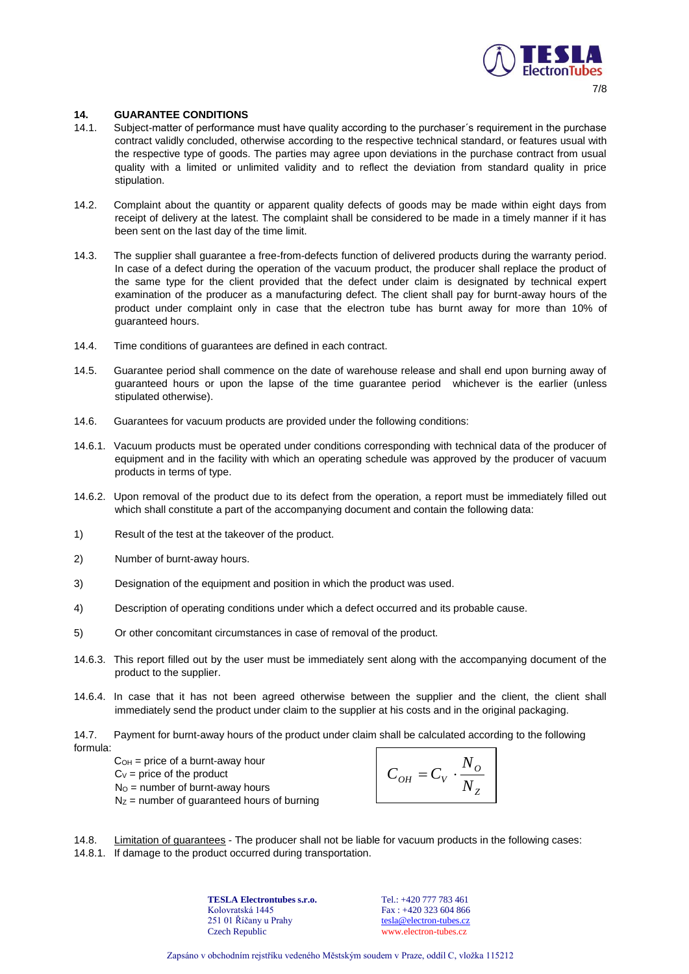

## **14. GUARANTEE CONDITIONS**

- 14.1. Subject-matter of performance must have quality according to the purchaser´s requirement in the purchase contract validly concluded, otherwise according to the respective technical standard, or features usual with the respective type of goods. The parties may agree upon deviations in the purchase contract from usual quality with a limited or unlimited validity and to reflect the deviation from standard quality in price stipulation.
- 14.2. Complaint about the quantity or apparent quality defects of goods may be made within eight days from receipt of delivery at the latest. The complaint shall be considered to be made in a timely manner if it has been sent on the last day of the time limit.
- 14.3. The supplier shall guarantee a free-from-defects function of delivered products during the warranty period. In case of a defect during the operation of the vacuum product, the producer shall replace the product of the same type for the client provided that the defect under claim is designated by technical expert examination of the producer as a manufacturing defect. The client shall pay for burnt-away hours of the product under complaint only in case that the electron tube has burnt away for more than 10% of guaranteed hours.
- 14.4. Time conditions of guarantees are defined in each contract.
- 14.5. Guarantee period shall commence on the date of warehouse release and shall end upon burning away of guaranteed hours or upon the lapse of the time guarantee period whichever is the earlier (unless stipulated otherwise).
- 14.6. Guarantees for vacuum products are provided under the following conditions:
- 14.6.1. Vacuum products must be operated under conditions corresponding with technical data of the producer of equipment and in the facility with which an operating schedule was approved by the producer of vacuum products in terms of type.
- 14.6.2. Upon removal of the product due to its defect from the operation, a report must be immediately filled out which shall constitute a part of the accompanying document and contain the following data:
- 1) Result of the test at the takeover of the product.
- 2) Number of burnt-away hours.
- 3) Designation of the equipment and position in which the product was used.
- 4) Description of operating conditions under which a defect occurred and its probable cause.
- 5) Or other concomitant circumstances in case of removal of the product.
- 14.6.3. This report filled out by the user must be immediately sent along with the accompanying document of the product to the supplier.
- 14.6.4. In case that it has not been agreed otherwise between the supplier and the client, the client shall immediately send the product under claim to the supplier at his costs and in the original packaging.
- 14.7. Payment for burnt-away hours of the product under claim shall be calculated according to the following formula:
	- $C<sub>OH</sub>$  = price of a burnt-away hour
	- $C_V$  = price of the product
	- $N<sub>O</sub>$  = number of burnt-away hours
	- $N<sub>Z</sub>$  = number of guaranteed hours of burning

$$
C_{OH} = C_V \cdot \frac{N_o}{N_Z}
$$

- Exapsáno v obchodním rejstříku vedeného Městským soudem v Praze, oddíl C, vložka 115212<br>
Zapsáno v obchodním rejstříku vedeného Městským soudem v Praze, oddíl C, vložka 115212 14.8. Limitation of guarantees - The producer shall not be liable for vacuum products in the following cases:
- 14.8.1. If damage to the product occurred during transportation.

**TESLA Electrontubes s.r.o.** Kolovratská 1445 251 01 Říčany u Prahy Czech Republic